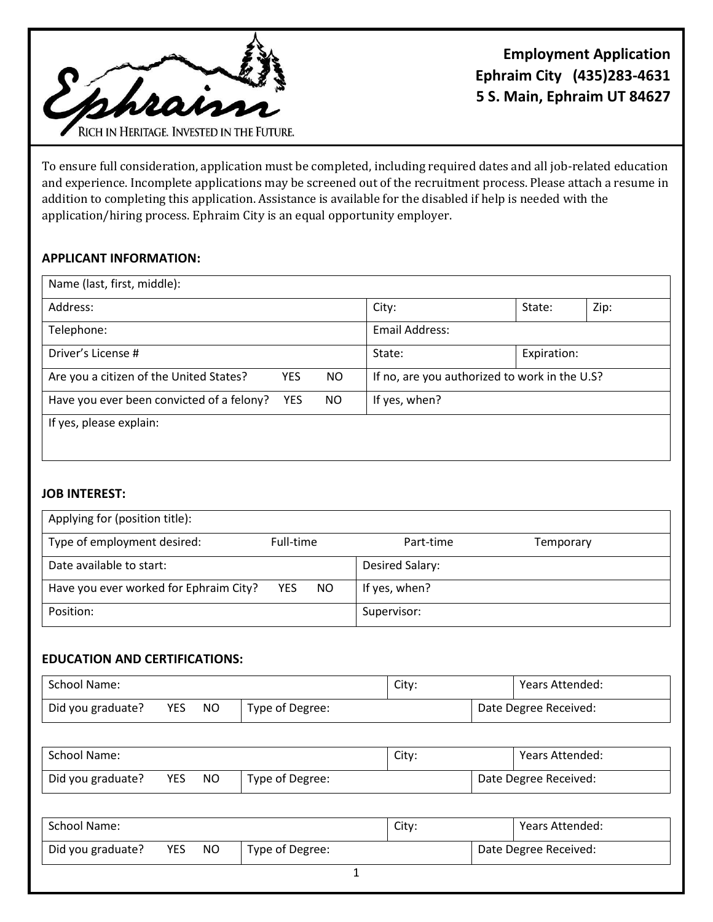

To ensure full consideration, application must be completed, including required dates and all job-related education and experience. Incomplete applications may be screened out of the recruitment process. Please attach a resume in addition to completing this application. Assistance is available for the disabled if help is needed with the application/hiring process. Ephraim City is an equal opportunity employer.

# **APPLICANT INFORMATION:**

| Name (last, first, middle):               |            |     |                                               |             |      |  |
|-------------------------------------------|------------|-----|-----------------------------------------------|-------------|------|--|
| Address:                                  |            |     | City:                                         | State:      | Zip: |  |
| Telephone:                                |            |     | Email Address:                                |             |      |  |
| Driver's License #                        |            |     | State:                                        | Expiration: |      |  |
| Are you a citizen of the United States?   | <b>YES</b> | NO. | If no, are you authorized to work in the U.S? |             |      |  |
| Have you ever been convicted of a felony? | <b>YES</b> | NO. | If yes, when?                                 |             |      |  |
| If yes, please explain:                   |            |     |                                               |             |      |  |

# **JOB INTEREST:**

| Applying for (position title):         |                   |                 |           |
|----------------------------------------|-------------------|-----------------|-----------|
| Type of employment desired:            | Full-time         | Part-time       | Temporary |
| Date available to start:               |                   | Desired Salary: |           |
| Have you ever worked for Ephraim City? | <b>YES</b><br>NO. | If yes, when?   |           |
| Position:                              |                   | Supervisor:     |           |

### **EDUCATION AND CERTIFICATIONS:**

| School Name:      |     |    | City:           |                       | Years Attended: |  |
|-------------------|-----|----|-----------------|-----------------------|-----------------|--|
| Did you graduate? | YES | NΟ | Type of Degree: | Date Degree Received: |                 |  |

| School Name:      |            |    | City:           |                       | Years Attended: |  |
|-------------------|------------|----|-----------------|-----------------------|-----------------|--|
| Did you graduate? | <b>YES</b> | NO | Type of Degree: | Date Degree Received: |                 |  |

| School Name:      |            |    |                 | City:                 |  | Years Attended: |
|-------------------|------------|----|-----------------|-----------------------|--|-----------------|
| Did you graduate? | <b>YES</b> | NO | Type of Degree: | Date Degree Received: |  |                 |
|                   |            |    |                 |                       |  |                 |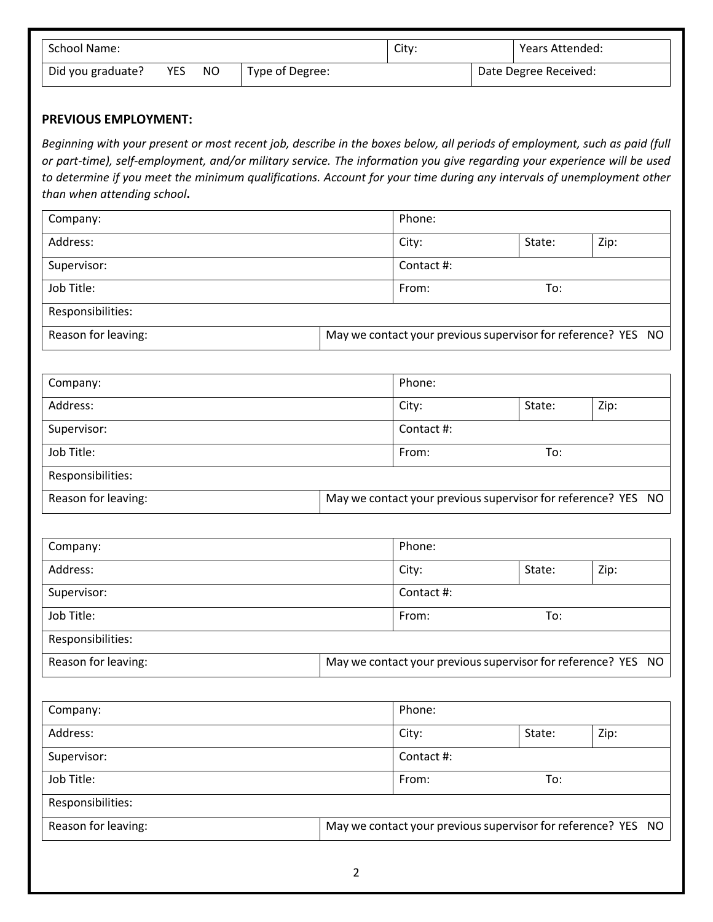| School Name:      |     |    | City:           |  | Years Attended: |                       |
|-------------------|-----|----|-----------------|--|-----------------|-----------------------|
| Did you graduate? | YES | NO | Type of Degree: |  |                 | Date Degree Received: |

#### **PREVIOUS EMPLOYMENT:**

*Beginning with your present or most recent job, describe in the boxes below, all periods of employment, such as paid (full or part-time), self-employment, and/or military service. The information you give regarding your experience will be used to determine if you meet the minimum qualifications. Account for your time during any intervals of unemployment other than when attending school***.** 

| Company:            |  | Phone:                                                        |        |                                                               |
|---------------------|--|---------------------------------------------------------------|--------|---------------------------------------------------------------|
| Address:            |  | City:                                                         | State: | Zip:                                                          |
| Supervisor:         |  | Contact #:                                                    |        |                                                               |
| Job Title:          |  | From:                                                         | To:    |                                                               |
| Responsibilities:   |  |                                                               |        |                                                               |
| Reason for leaving: |  |                                                               |        | May we contact your previous supervisor for reference? YES NO |
|                     |  |                                                               |        |                                                               |
| Company:            |  | Phone:                                                        |        |                                                               |
| Address:            |  | City:                                                         | State: | Zip:                                                          |
| Supervisor:         |  | Contact #:                                                    |        |                                                               |
| Job Title:          |  | From:                                                         | To:    |                                                               |
| Responsibilities:   |  |                                                               |        |                                                               |
| Reason for leaving: |  | May we contact your previous supervisor for reference? YES NO |        |                                                               |

| Company:            | Phone: |                                                               |        |      |  |  |
|---------------------|--------|---------------------------------------------------------------|--------|------|--|--|
| Address:            |        | City:                                                         | State: | Zip: |  |  |
| Supervisor:         |        | Contact #:                                                    |        |      |  |  |
| Job Title:          |        | From:                                                         | To:    |      |  |  |
| Responsibilities:   |        |                                                               |        |      |  |  |
| Reason for leaving: |        | May we contact your previous supervisor for reference? YES NO |        |      |  |  |

| Company:            |                                                               | Phone:     |        |      |  |
|---------------------|---------------------------------------------------------------|------------|--------|------|--|
| Address:            |                                                               | City:      | State: | Zip: |  |
| Supervisor:         |                                                               | Contact #: |        |      |  |
| Job Title:          |                                                               | From:      | To:    |      |  |
| Responsibilities:   |                                                               |            |        |      |  |
| Reason for leaving: | May we contact your previous supervisor for reference? YES NO |            |        |      |  |
|                     |                                                               |            |        |      |  |